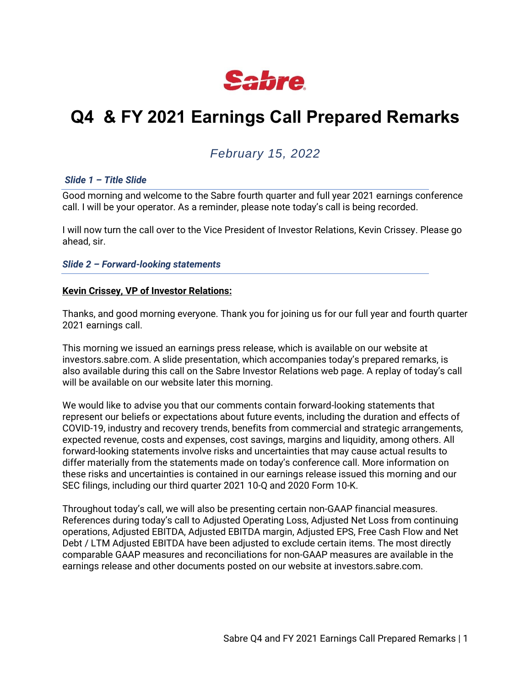

# **Q4 & FY 2021 Earnings Call Prepared Remarks**

# *February 15, 2022*

#### *Slide 1 – Title Slide*

Good morning and welcome to the Sabre fourth quarter and full year 2021 earnings conference call. I will be your operator. As a reminder, please note today's call is being recorded.

I will now turn the call over to the Vice President of Investor Relations, Kevin Crissey. Please go ahead, sir.

*Slide 2 – Forward-looking statements*

#### **Kevin Crissey, VP of Investor Relations:**

Thanks, and good morning everyone. Thank you for joining us for our full year and fourth quarter 2021 earnings call.

This morning we issued an earnings press release, which is available on our website at investors.sabre.com. A slide presentation, which accompanies today's prepared remarks, is also available during this call on the Sabre Investor Relations web page. A replay of today's call will be available on our website later this morning.

We would like to advise you that our comments contain forward-looking statements that represent our beliefs or expectations about future events, including the duration and effects of COVID-19, industry and recovery trends, benefits from commercial and strategic arrangements, expected revenue, costs and expenses, cost savings, margins and liquidity, among others. All forward-looking statements involve risks and uncertainties that may cause actual results to differ materially from the statements made on today's conference call. More information on these risks and uncertainties is contained in our earnings release issued this morning and our SEC filings, including our third quarter 2021 10-Q and 2020 Form 10-K.

Throughout today's call, we will also be presenting certain non-GAAP financial measures. References during today's call to Adjusted Operating Loss, Adjusted Net Loss from continuing operations, Adjusted EBITDA, Adjusted EBITDA margin, Adjusted EPS, Free Cash Flow and Net Debt / LTM Adjusted EBITDA have been adjusted to exclude certain items. The most directly comparable GAAP measures and reconciliations for non-GAAP measures are available in the earnings release and other documents posted on our website at investors.sabre.com.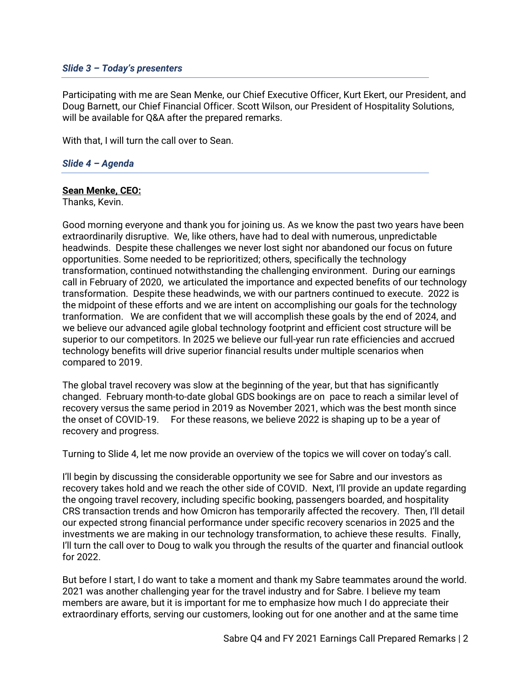#### *Slide 3 – Today's presenters*

Participating with me are Sean Menke, our Chief Executive Officer, Kurt Ekert, our President, and Doug Barnett, our Chief Financial Officer. Scott Wilson, our President of Hospitality Solutions, will be available for Q&A after the prepared remarks.

With that, I will turn the call over to Sean.

## *Slide 4 – Agenda*

# **Sean Menke, CEO:**

Thanks, Kevin.

Good morning everyone and thank you for joining us. As we know the past two years have been extraordinarily disruptive. We, like others, have had to deal with numerous, unpredictable headwinds. Despite these challenges we never lost sight nor abandoned our focus on future opportunities. Some needed to be reprioritized; others, specifically the technology transformation, continued notwithstanding the challenging environment. During our earnings call in February of 2020, we articulated the importance and expected benefits of our technology transformation. Despite these headwinds, we with our partners continued to execute. 2022 is the midpoint of these efforts and we are intent on accomplishing our goals for the technology tranformation. We are confident that we will accomplish these goals by the end of 2024, and we believe our advanced agile global technology footprint and efficient cost structure will be superior to our competitors. In 2025 we believe our full-year run rate efficiencies and accrued technology benefits will drive superior financial results under multiple scenarios when compared to 2019.

The global travel recovery was slow at the beginning of the year, but that has significantly changed. February month-to-date global GDS bookings are on pace to reach a similar level of recovery versus the same period in 2019 as November 2021, which was the best month since the onset of COVID-19. For these reasons, we believe 2022 is shaping up to be a year of recovery and progress.

Turning to Slide 4, let me now provide an overview of the topics we will cover on today's call.

I'll begin by discussing the considerable opportunity we see for Sabre and our investors as recovery takes hold and we reach the other side of COVID. Next, I'll provide an update regarding the ongoing travel recovery, including specific booking, passengers boarded, and hospitality CRS transaction trends and how Omicron has temporarily affected the recovery. Then, I'll detail our expected strong financial performance under specific recovery scenarios in 2025 and the investments we are making in our technology transformation, to achieve these results. Finally, I'll turn the call over to Doug to walk you through the results of the quarter and financial outlook for 2022.

But before I start, I do want to take a moment and thank my Sabre teammates around the world. 2021 was another challenging year for the travel industry and for Sabre. I believe my team members are aware, but it is important for me to emphasize how much I do appreciate their extraordinary efforts, serving our customers, looking out for one another and at the same time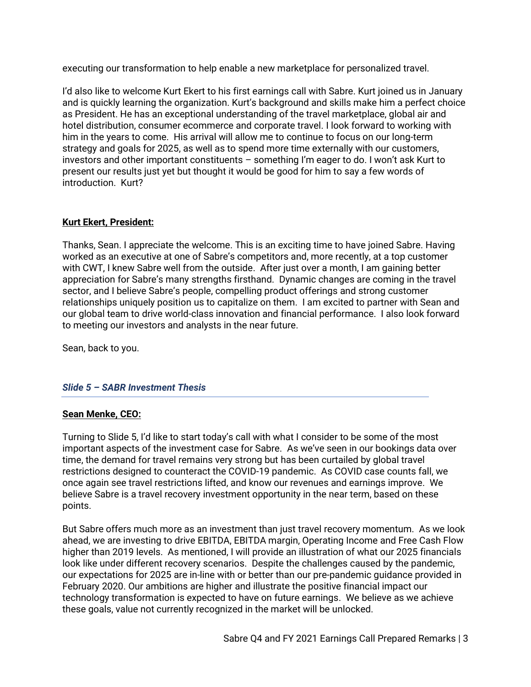executing our transformation to help enable a new marketplace for personalized travel.

I'd also like to welcome Kurt Ekert to his first earnings call with Sabre. Kurt joined us in January and is quickly learning the organization. Kurt's background and skills make him a perfect choice as President. He has an exceptional understanding of the travel marketplace, global air and hotel distribution, consumer ecommerce and corporate travel. I look forward to working with him in the years to come. His arrival will allow me to continue to focus on our long-term strategy and goals for 2025, as well as to spend more time externally with our customers, investors and other important constituents – something I'm eager to do. I won't ask Kurt to present our results just yet but thought it would be good for him to say a few words of introduction. Kurt?

# **Kurt Ekert, President:**

Thanks, Sean. I appreciate the welcome. This is an exciting time to have joined Sabre. Having worked as an executive at one of Sabre's competitors and, more recently, at a top customer with CWT, I knew Sabre well from the outside. After just over a month, I am gaining better appreciation for Sabre's many strengths firsthand. Dynamic changes are coming in the travel sector, and I believe Sabre's people, compelling product offerings and strong customer relationships uniquely position us to capitalize on them. I am excited to partner with Sean and our global team to drive world-class innovation and financial performance. I also look forward to meeting our investors and analysts in the near future.

Sean, back to you.

# *Slide 5 – SABR Investment Thesis*

# **Sean Menke, CEO:**

Turning to Slide 5, I'd like to start today's call with what I consider to be some of the most important aspects of the investment case for Sabre. As we've seen in our bookings data over time, the demand for travel remains very strong but has been curtailed by global travel restrictions designed to counteract the COVID-19 pandemic. As COVID case counts fall, we once again see travel restrictions lifted, and know our revenues and earnings improve. We believe Sabre is a travel recovery investment opportunity in the near term, based on these points.

But Sabre offers much more as an investment than just travel recovery momentum. As we look ahead, we are investing to drive EBITDA, EBITDA margin, Operating Income and Free Cash Flow higher than 2019 levels. As mentioned, I will provide an illustration of what our 2025 financials look like under different recovery scenarios. Despite the challenges caused by the pandemic, our expectations for 2025 are in-line with or better than our pre-pandemic guidance provided in February 2020. Our ambitions are higher and illustrate the positive financial impact our technology transformation is expected to have on future earnings. We believe as we achieve these goals, value not currently recognized in the market will be unlocked.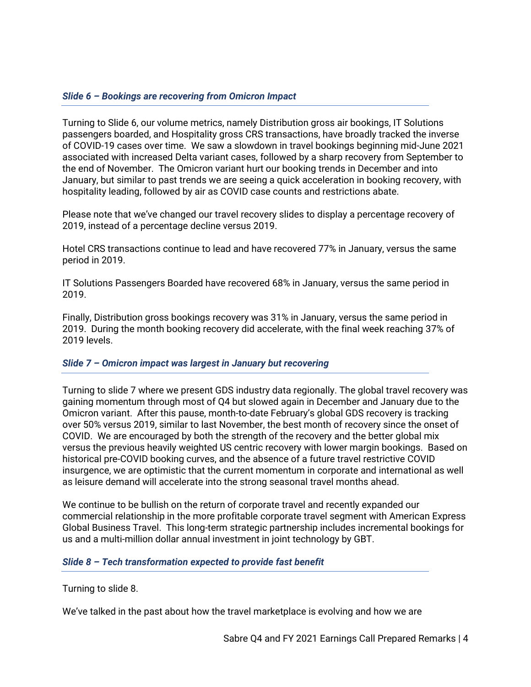# *Slide 6 – Bookings are recovering from Omicron Impact*

Turning to Slide 6, our volume metrics, namely Distribution gross air bookings, IT Solutions passengers boarded, and Hospitality gross CRS transactions, have broadly tracked the inverse of COVID-19 cases over time. We saw a slowdown in travel bookings beginning mid-June 2021 associated with increased Delta variant cases, followed by a sharp recovery from September to the end of November. The Omicron variant hurt our booking trends in December and into January, but similar to past trends we are seeing a quick acceleration in booking recovery, with hospitality leading, followed by air as COVID case counts and restrictions abate.

Please note that we've changed our travel recovery slides to display a percentage recovery of 2019, instead of a percentage decline versus 2019.

Hotel CRS transactions continue to lead and have recovered 77% in January, versus the same period in 2019.

IT Solutions Passengers Boarded have recovered 68% in January, versus the same period in 2019.

Finally, Distribution gross bookings recovery was 31% in January, versus the same period in 2019. During the month booking recovery did accelerate, with the final week reaching 37% of 2019 levels.

#### *Slide 7 – Omicron impact was largest in January but recovering*

Turning to slide 7 where we present GDS industry data regionally. The global travel recovery was gaining momentum through most of Q4 but slowed again in December and January due to the Omicron variant. After this pause, month-to-date February's global GDS recovery is tracking over 50% versus 2019, similar to last November, the best month of recovery since the onset of COVID. We are encouraged by both the strength of the recovery and the better global mix versus the previous heavily weighted US centric recovery with lower margin bookings. Based on historical pre-COVID booking curves, and the absence of a future travel restrictive COVID insurgence, we are optimistic that the current momentum in corporate and international as well as leisure demand will accelerate into the strong seasonal travel months ahead.

We continue to be bullish on the return of corporate travel and recently expanded our commercial relationship in the more profitable corporate travel segment with American Express Global Business Travel. This long-term strategic partnership includes incremental bookings for us and a multi-million dollar annual investment in joint technology by GBT.

#### *Slide 8 – Tech transformation expected to provide fast benefit*

Turning to slide 8.

We've talked in the past about how the travel marketplace is evolving and how we are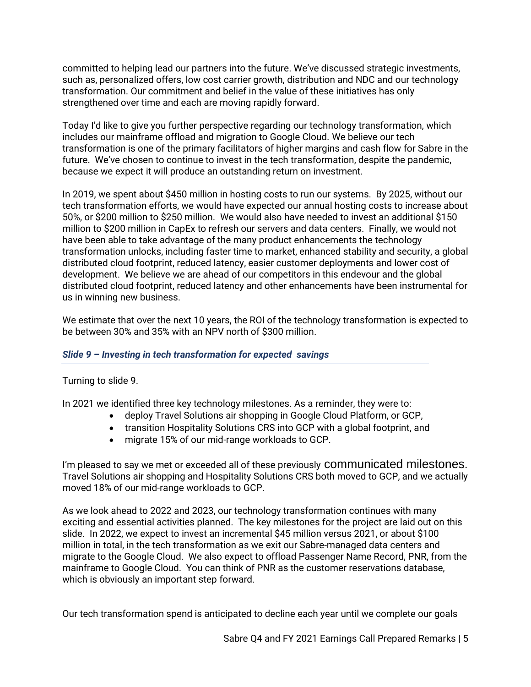committed to helping lead our partners into the future. We've discussed strategic investments, such as, personalized offers, low cost carrier growth, distribution and NDC and our technology transformation. Our commitment and belief in the value of these initiatives has only strengthened over time and each are moving rapidly forward.

Today I'd like to give you further perspective regarding our technology transformation, which includes our mainframe offload and migration to Google Cloud. We believe our tech transformation is one of the primary facilitators of higher margins and cash flow for Sabre in the future. We've chosen to continue to invest in the tech transformation, despite the pandemic, because we expect it will produce an outstanding return on investment.

In 2019, we spent about \$450 million in hosting costs to run our systems. By 2025, without our tech transformation efforts, we would have expected our annual hosting costs to increase about 50%, or \$200 million to \$250 million. We would also have needed to invest an additional \$150 million to \$200 million in CapEx to refresh our servers and data centers. Finally, we would not have been able to take advantage of the many product enhancements the technology transformation unlocks, including faster time to market, enhanced stability and security, a global distributed cloud footprint, reduced latency, easier customer deployments and lower cost of development. We believe we are ahead of our competitors in this endevour and the global distributed cloud footprint, reduced latency and other enhancements have been instrumental for us in winning new business.

We estimate that over the next 10 years, the ROI of the technology transformation is expected to be between 30% and 35% with an NPV north of \$300 million.

# *Slide 9 – Investing in tech transformation for expected savings*

Turning to slide 9.

In 2021 we identified three key technology milestones. As a reminder, they were to:

- deploy Travel Solutions air shopping in Google Cloud Platform, or GCP,
- transition Hospitality Solutions CRS into GCP with a global footprint, and
- migrate 15% of our mid-range workloads to GCP.

I'm pleased to say we met or exceeded all of these previously **communicated milestones.** Travel Solutions air shopping and Hospitality Solutions CRS both moved to GCP, and we actually moved 18% of our mid-range workloads to GCP.

As we look ahead to 2022 and 2023, our technology transformation continues with many exciting and essential activities planned. The key milestones for the project are laid out on this slide. In 2022, we expect to invest an incremental \$45 million versus 2021, or about \$100 million in total, in the tech transformation as we exit our Sabre-managed data centers and migrate to the Google Cloud. We also expect to offload Passenger Name Record, PNR, from the mainframe to Google Cloud. You can think of PNR as the customer reservations database, which is obviously an important step forward.

Our tech transformation spend is anticipated to decline each year until we complete our goals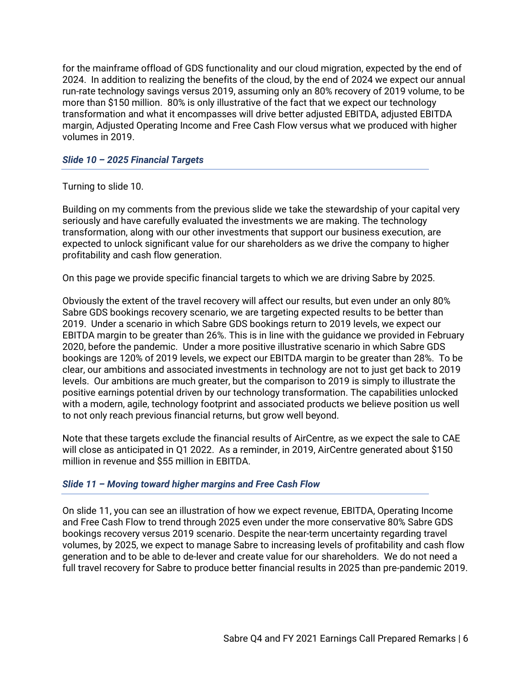for the mainframe offload of GDS functionality and our cloud migration, expected by the end of 2024. In addition to realizing the benefits of the cloud, by the end of 2024 we expect our annual run-rate technology savings versus 2019, assuming only an 80% recovery of 2019 volume, to be more than \$150 million. 80% is only illustrative of the fact that we expect our technology transformation and what it encompasses will drive better adjusted EBITDA, adjusted EBITDA margin, Adjusted Operating Income and Free Cash Flow versus what we produced with higher volumes in 2019.

# *Slide 10 – 2025 Financial Targets*

# Turning to slide 10.

Building on my comments from the previous slide we take the stewardship of your capital very seriously and have carefully evaluated the investments we are making. The technology transformation, along with our other investments that support our business execution, are expected to unlock significant value for our shareholders as we drive the company to higher profitability and cash flow generation.

On this page we provide specific financial targets to which we are driving Sabre by 2025.

Obviously the extent of the travel recovery will affect our results, but even under an only 80% Sabre GDS bookings recovery scenario, we are targeting expected results to be better than 2019. Under a scenario in which Sabre GDS bookings return to 2019 levels, we expect our EBITDA margin to be greater than 26%. This is in line with the guidance we provided in February 2020, before the pandemic. Under a more positive illustrative scenario in which Sabre GDS bookings are 120% of 2019 levels, we expect our EBITDA margin to be greater than 28%. To be clear, our ambitions and associated investments in technology are not to just get back to 2019 levels. Our ambitions are much greater, but the comparison to 2019 is simply to illustrate the positive earnings potential driven by our technology transformation. The capabilities unlocked with a modern, agile, technology footprint and associated products we believe position us well to not only reach previous financial returns, but grow well beyond.

Note that these targets exclude the financial results of AirCentre, as we expect the sale to CAE will close as anticipated in Q1 2022. As a reminder, in 2019, AirCentre generated about \$150 million in revenue and \$55 million in EBITDA.

# *Slide 11 – Moving toward higher margins and Free Cash Flow*

On slide 11, you can see an illustration of how we expect revenue, EBITDA, Operating Income and Free Cash Flow to trend through 2025 even under the more conservative 80% Sabre GDS bookings recovery versus 2019 scenario. Despite the near-term uncertainty regarding travel volumes, by 2025, we expect to manage Sabre to increasing levels of profitability and cash flow generation and to be able to de-lever and create value for our shareholders. We do not need a full travel recovery for Sabre to produce better financial results in 2025 than pre-pandemic 2019.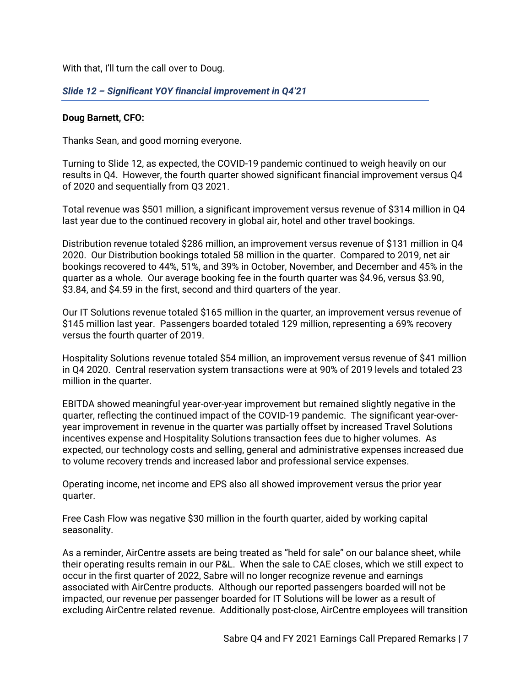With that, I'll turn the call over to Doug.

# *Slide 12 – Significant YOY financial improvement in Q4'21*

#### **Doug Barnett, CFO:**

Thanks Sean, and good morning everyone.

Turning to Slide 12, as expected, the COVID-19 pandemic continued to weigh heavily on our results in Q4. However, the fourth quarter showed significant financial improvement versus Q4 of 2020 and sequentially from Q3 2021.

Total revenue was \$501 million, a significant improvement versus revenue of \$314 million in Q4 last year due to the continued recovery in global air, hotel and other travel bookings.

Distribution revenue totaled \$286 million, an improvement versus revenue of \$131 million in Q4 2020. Our Distribution bookings totaled 58 million in the quarter. Compared to 2019, net air bookings recovered to 44%, 51%, and 39% in October, November, and December and 45% in the quarter as a whole. Our average booking fee in the fourth quarter was \$4.96, versus \$3.90, \$3.84, and \$4.59 in the first, second and third quarters of the year.

Our IT Solutions revenue totaled \$165 million in the quarter, an improvement versus revenue of \$145 million last year. Passengers boarded totaled 129 million, representing a 69% recovery versus the fourth quarter of 2019.

Hospitality Solutions revenue totaled \$54 million, an improvement versus revenue of \$41 million in Q4 2020. Central reservation system transactions were at 90% of 2019 levels and totaled 23 million in the quarter.

EBITDA showed meaningful year-over-year improvement but remained slightly negative in the quarter, reflecting the continued impact of the COVID-19 pandemic. The significant year-overyear improvement in revenue in the quarter was partially offset by increased Travel Solutions incentives expense and Hospitality Solutions transaction fees due to higher volumes. As expected, our technology costs and selling, general and administrative expenses increased due to volume recovery trends and increased labor and professional service expenses.

Operating income, net income and EPS also all showed improvement versus the prior year quarter.

Free Cash Flow was negative \$30 million in the fourth quarter, aided by working capital seasonality.

As a reminder, AirCentre assets are being treated as "held for sale" on our balance sheet, while their operating results remain in our P&L. When the sale to CAE closes, which we still expect to occur in the first quarter of 2022, Sabre will no longer recognize revenue and earnings associated with AirCentre products. Although our reported passengers boarded will not be impacted, our revenue per passenger boarded for IT Solutions will be lower as a result of excluding AirCentre related revenue. Additionally post-close, AirCentre employees will transition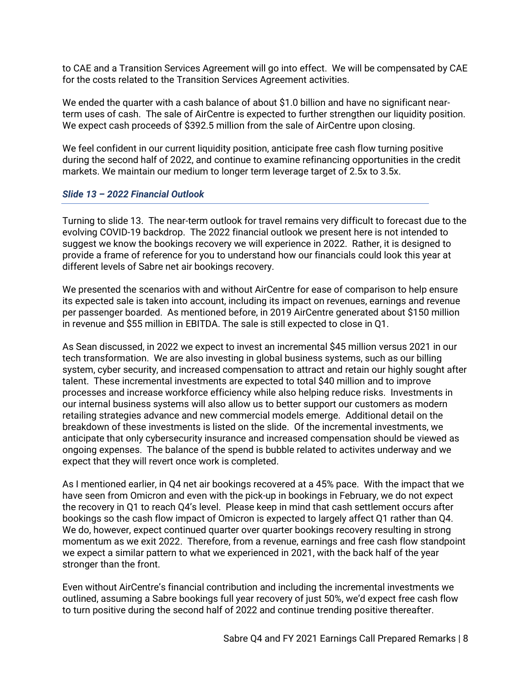to CAE and a Transition Services Agreement will go into effect. We will be compensated by CAE for the costs related to the Transition Services Agreement activities.

We ended the quarter with a cash balance of about \$1.0 billion and have no significant nearterm uses of cash. The sale of AirCentre is expected to further strengthen our liquidity position. We expect cash proceeds of \$392.5 million from the sale of AirCentre upon closing.

We feel confident in our current liquidity position, anticipate free cash flow turning positive during the second half of 2022, and continue to examine refinancing opportunities in the credit markets. We maintain our medium to longer term leverage target of 2.5x to 3.5x.

# *Slide 13 – 2022 Financial Outlook*

Turning to slide 13. The near-term outlook for travel remains very difficult to forecast due to the evolving COVID-19 backdrop. The 2022 financial outlook we present here is not intended to suggest we know the bookings recovery we will experience in 2022. Rather, it is designed to provide a frame of reference for you to understand how our financials could look this year at different levels of Sabre net air bookings recovery.

We presented the scenarios with and without AirCentre for ease of comparison to help ensure its expected sale is taken into account, including its impact on revenues, earnings and revenue per passenger boarded. As mentioned before, in 2019 AirCentre generated about \$150 million in revenue and \$55 million in EBITDA. The sale is still expected to close in Q1.

As Sean discussed, in 2022 we expect to invest an incremental \$45 million versus 2021 in our tech transformation. We are also investing in global business systems, such as our billing system, cyber security, and increased compensation to attract and retain our highly sought after talent. These incremental investments are expected to total \$40 million and to improve processes and increase workforce efficiency while also helping reduce risks. Investments in our internal business systems will also allow us to better support our customers as modern retailing strategies advance and new commercial models emerge. Additional detail on the breakdown of these investments is listed on the slide. Of the incremental investments, we anticipate that only cybersecurity insurance and increased compensation should be viewed as ongoing expenses. The balance of the spend is bubble related to activites underway and we expect that they will revert once work is completed.

As I mentioned earlier, in Q4 net air bookings recovered at a 45% pace. With the impact that we have seen from Omicron and even with the pick-up in bookings in February, we do not expect the recovery in Q1 to reach Q4's level. Please keep in mind that cash settlement occurs after bookings so the cash flow impact of Omicron is expected to largely affect Q1 rather than Q4. We do, however, expect continued quarter over quarter bookings recovery resulting in strong momentum as we exit 2022. Therefore, from a revenue, earnings and free cash flow standpoint we expect a similar pattern to what we experienced in 2021, with the back half of the year stronger than the front.

Even without AirCentre's financial contribution and including the incremental investments we outlined, assuming a Sabre bookings full year recovery of just 50%, we'd expect free cash flow to turn positive during the second half of 2022 and continue trending positive thereafter.